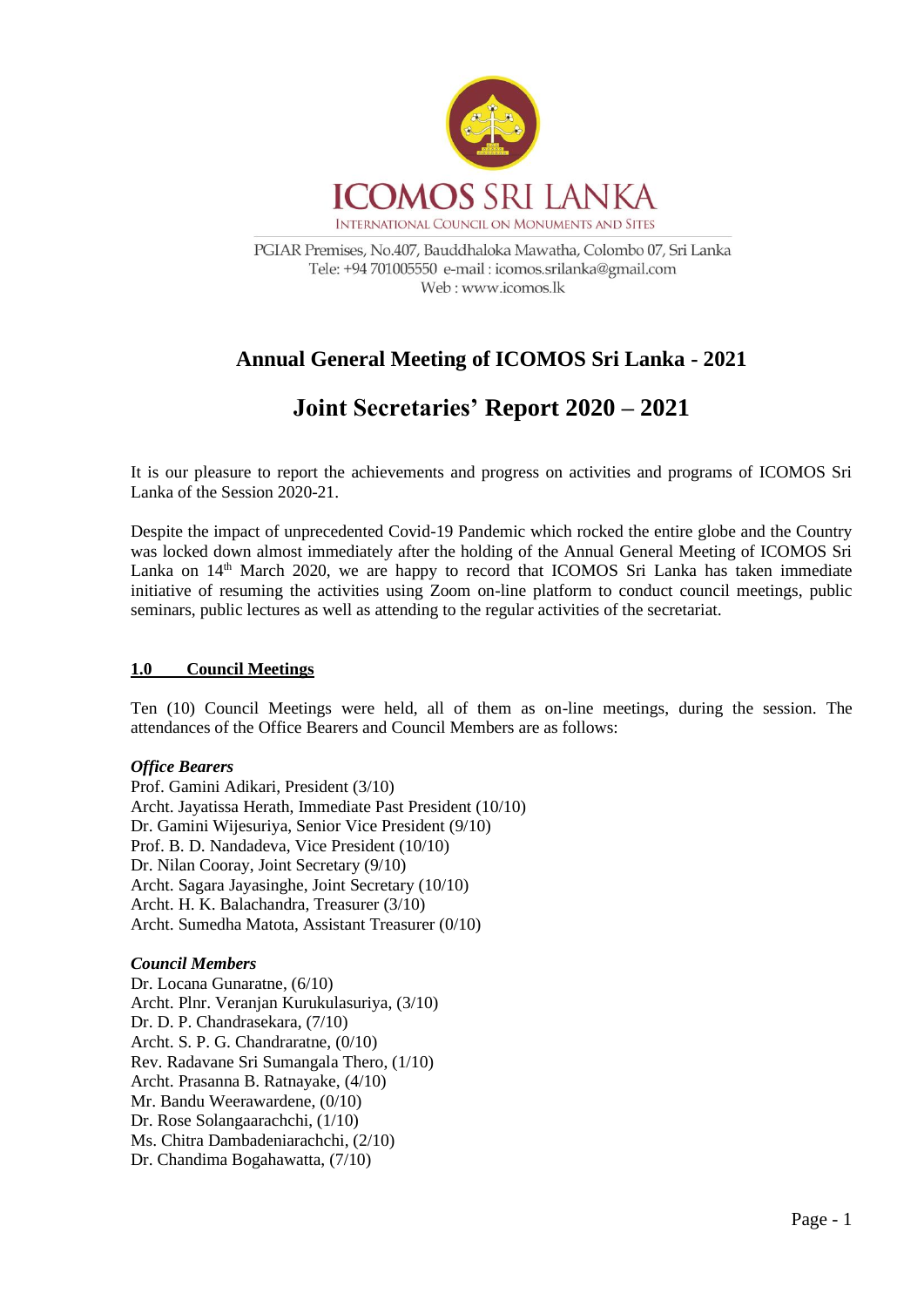

PGIAR Premises, No.407, Bauddhaloka Mawatha, Colombo 07, Sri Lanka Tele: +94 701005550 e-mail : icomos.srilanka@gmail.com Web: www.icomos.lk

## **Annual General Meeting of ICOMOS Sri Lanka - 2021**

# **Joint Secretaries' Report 2020 – 2021**

It is our pleasure to report the achievements and progress on activities and programs of ICOMOS Sri Lanka of the Session 2020-21.

Despite the impact of unprecedented Covid-19 Pandemic which rocked the entire globe and the Country was locked down almost immediately after the holding of the Annual General Meeting of ICOMOS Sri Lanka on 14<sup>th</sup> March 2020, we are happy to record that ICOMOS Sri Lanka has taken immediate initiative of resuming the activities using Zoom on-line platform to conduct council meetings, public seminars, public lectures as well as attending to the regular activities of the secretariat.

## **1.0 Council Meetings**

Ten (10) Council Meetings were held, all of them as on-line meetings, during the session. The attendances of the Office Bearers and Council Members are as follows:

## *Office Bearers*

Prof. Gamini Adikari, President (3/10) Archt. Jayatissa Herath, Immediate Past President (10/10) Dr. Gamini Wijesuriya, Senior Vice President (9/10) Prof. B. D. Nandadeva, Vice President (10/10) Dr. Nilan Cooray, Joint Secretary (9/10) Archt. Sagara Jayasinghe, Joint Secretary (10/10) Archt. H. K. Balachandra, Treasurer (3/10) Archt. Sumedha Matota, Assistant Treasurer (0/10)

## *Council Members*

Dr. Locana Gunaratne, (6/10) Archt. Plnr. Veranjan Kurukulasuriya, (3/10) Dr. D. P. Chandrasekara, (7/10) Archt. S. P. G. Chandraratne, (0/10) Rev. Radavane Sri Sumangala Thero, (1/10) Archt. Prasanna B. Ratnayake, (4/10) Mr. Bandu Weerawardene, (0/10) Dr. Rose Solangaarachchi, (1/10) Ms. Chitra Dambadeniarachchi, (2/10) Dr. Chandima Bogahawatta, (7/10)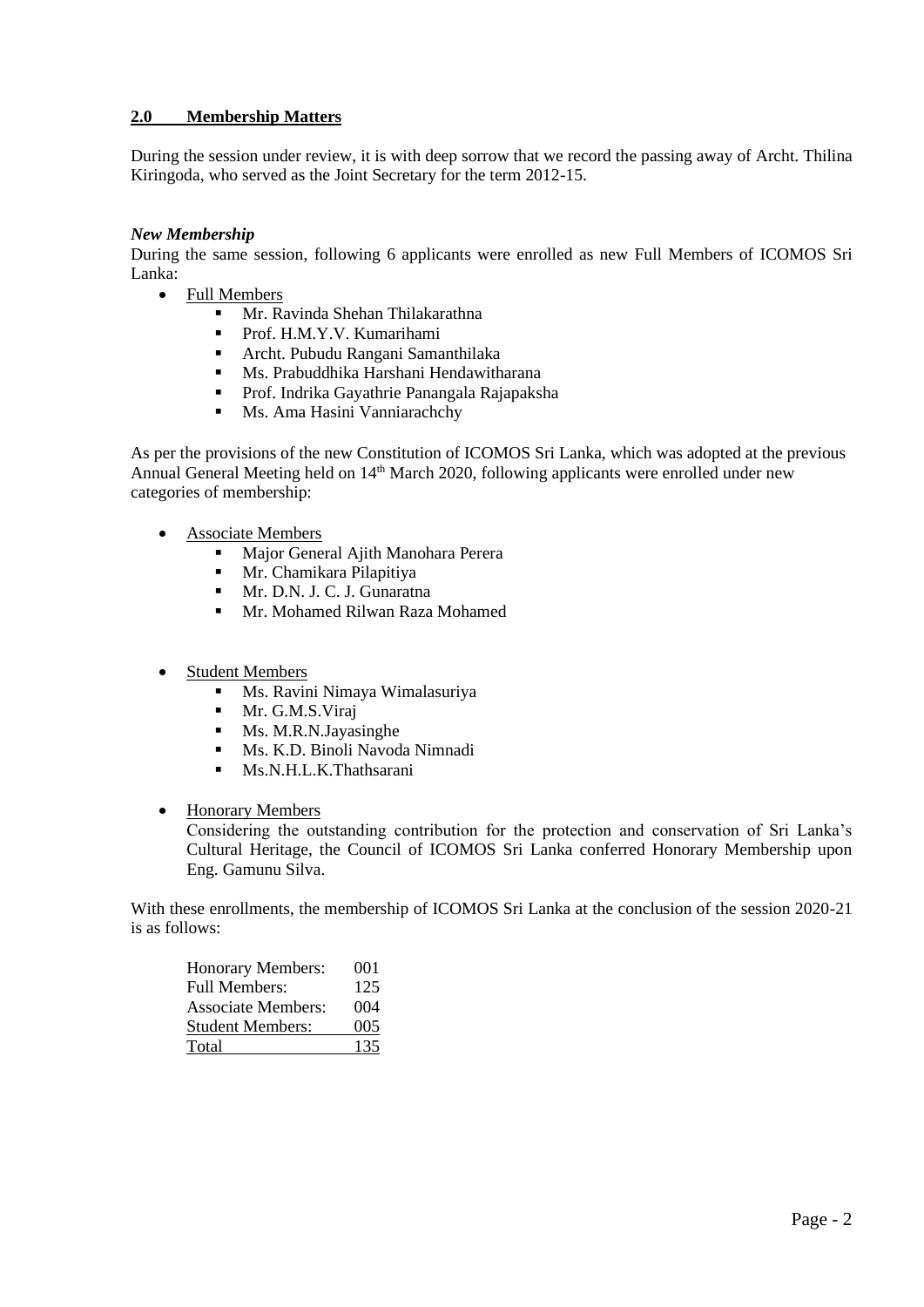## **2.0 Membership Matters**

During the session under review, it is with deep sorrow that we record the passing away of Archt. Thilina Kiringoda, who served as the Joint Secretary for the term 2012-15.

## *New Membership*

During the same session, following 6 applicants were enrolled as new Full Members of ICOMOS Sri Lanka:

- Full Members
	- Mr. Ravinda Shehan Thilakarathna
	- Prof. H.M.Y.V. Kumarihami
	- Archt. Pubudu Rangani Samanthilaka
	- Ms. Prabuddhika Harshani Hendawitharana
	- **•** Prof. Indrika Gayathrie Panangala Rajapaksha<br>• Ms. Ama Hasini Vanniarachchy
	- Ms. Ama Hasini Vanniarachchy

As per the provisions of the new Constitution of ICOMOS Sri Lanka, which was adopted at the previous Annual General Meeting held on 14<sup>th</sup> March 2020, following applicants were enrolled under new categories of membership:

- **Associate Members** 
	- Major General Ajith Manohara Perera
	- Mr. Chamikara Pilapitiya
	- Mr. D.N. J. C. J. Gunaratna
	- Mr. Mohamed Rilwan Raza Mohamed
- **Student Members** 
	- Ms. Ravini Nimaya Wimalasuriya
	- **■** Mr. G.M.S.Viraj
	- Ms. M.R.N.Jayasinghe
	- Ms. K.D. Binoli Navoda Nimnadi
	- **■** Ms.N.H.L.K.Thathsarani
- Honorary Members

Considering the outstanding contribution for the protection and conservation of Sri Lanka's Cultural Heritage, the Council of ICOMOS Sri Lanka conferred Honorary Membership upon Eng. Gamunu Silva.

With these enrollments, the membership of ICOMOS Sri Lanka at the conclusion of the session 2020-21 is as follows:

| <b>Honorary Members:</b>  | 001 |
|---------------------------|-----|
| <b>Full Members:</b>      | 125 |
| <b>Associate Members:</b> | 004 |
| <b>Student Members:</b>   | 005 |
| Total                     | 135 |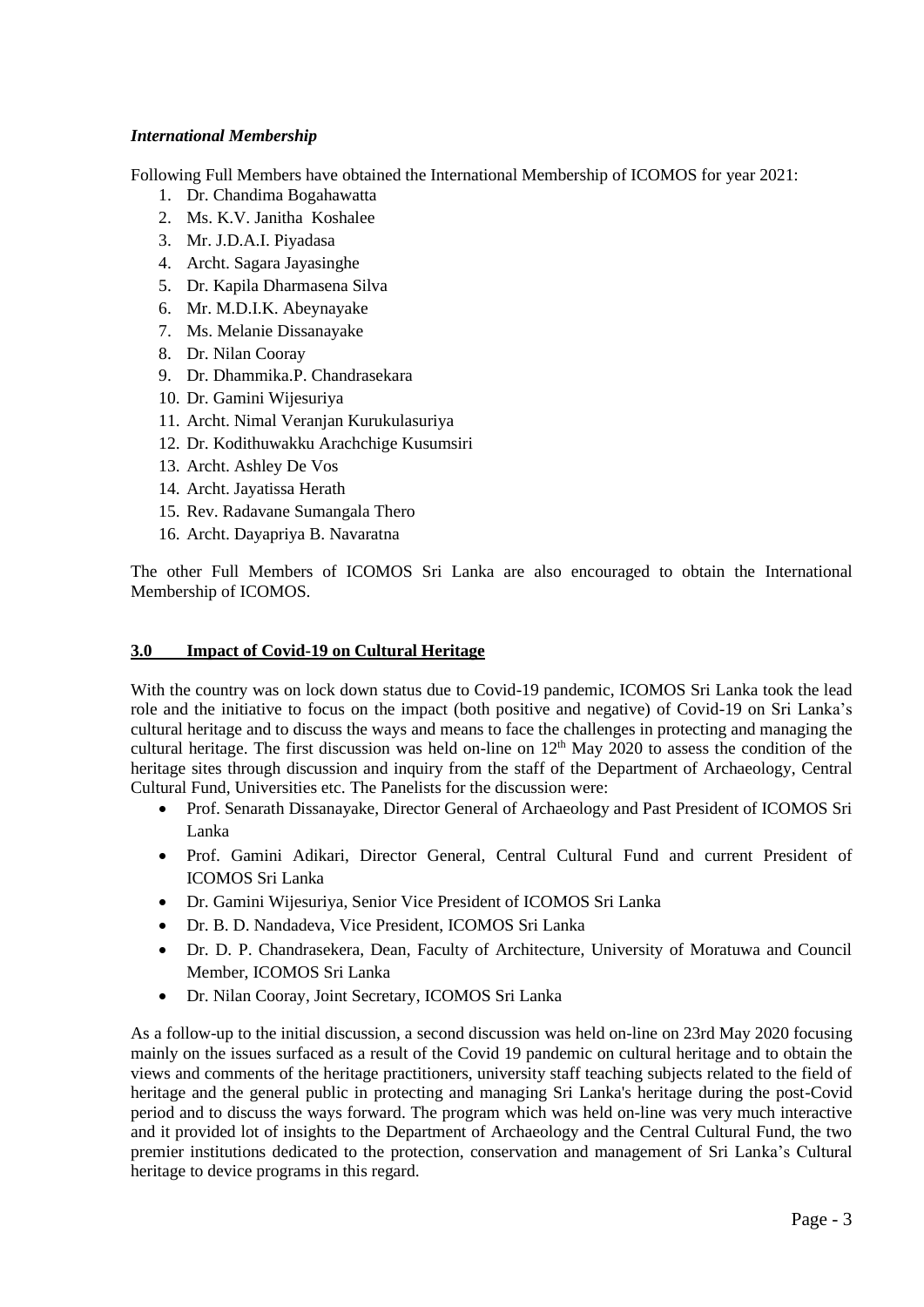## *International Membership*

Following Full Members have obtained the International Membership of ICOMOS for year 2021:

- 1. Dr. Chandima Bogahawatta
- 2. Ms. K.V. Janitha Koshalee
- 3. Mr. J.D.A.I. Piyadasa
- 4. Archt. Sagara Jayasinghe
- 5. Dr. Kapila Dharmasena Silva
- 6. Mr. M.D.I.K. Abeynayake
- 7. Ms. Melanie Dissanayake
- 8. Dr. Nilan Cooray
- 9. Dr. Dhammika.P. Chandrasekara
- 10. Dr. Gamini Wijesuriya
- 11. Archt. Nimal Veranjan Kurukulasuriya
- 12. Dr. Kodithuwakku Arachchige Kusumsiri
- 13. Archt. Ashley De Vos
- 14. Archt. Jayatissa Herath
- 15. Rev. Radavane Sumangala Thero
- 16. Archt. Dayapriya B. Navaratna

The other Full Members of ICOMOS Sri Lanka are also encouraged to obtain the International Membership of ICOMOS.

## **3.0 Impact of Covid-19 on Cultural Heritage**

With the country was on lock down status due to Covid-19 pandemic, ICOMOS Sri Lanka took the lead role and the initiative to focus on the impact (both positive and negative) of Covid-19 on Sri Lanka's cultural heritage and to discuss the ways and means to face the challenges in protecting and managing the cultural heritage. The first discussion was held on-line on  $12<sup>th</sup>$  May 2020 to assess the condition of the heritage sites through discussion and inquiry from the staff of the Department of Archaeology, Central Cultural Fund, Universities etc. The Panelists for the discussion were:

- Prof. Senarath Dissanayake, Director General of Archaeology and Past President of ICOMOS Sri Lanka
- Prof. Gamini Adikari, Director General, Central Cultural Fund and current President of ICOMOS Sri Lanka
- Dr. Gamini Wijesuriya, Senior Vice President of ICOMOS Sri Lanka
- Dr. B. D. Nandadeva, Vice President, ICOMOS Sri Lanka
- Dr. D. P. Chandrasekera, Dean, Faculty of Architecture, University of Moratuwa and Council Member, ICOMOS Sri Lanka
- Dr. Nilan Cooray, Joint Secretary, ICOMOS Sri Lanka

As a follow-up to the initial discussion, a second discussion was held on-line on 23rd May 2020 focusing mainly on the issues surfaced as a result of the Covid 19 pandemic on cultural heritage and to obtain the views and comments of the heritage practitioners, university staff teaching subjects related to the field of heritage and the general public in protecting and managing Sri Lanka's heritage during the post-Covid period and to discuss the ways forward. The program which was held on-line was very much interactive and it provided lot of insights to the Department of Archaeology and the Central Cultural Fund, the two premier institutions dedicated to the protection, conservation and management of Sri Lanka's Cultural heritage to device programs in this regard.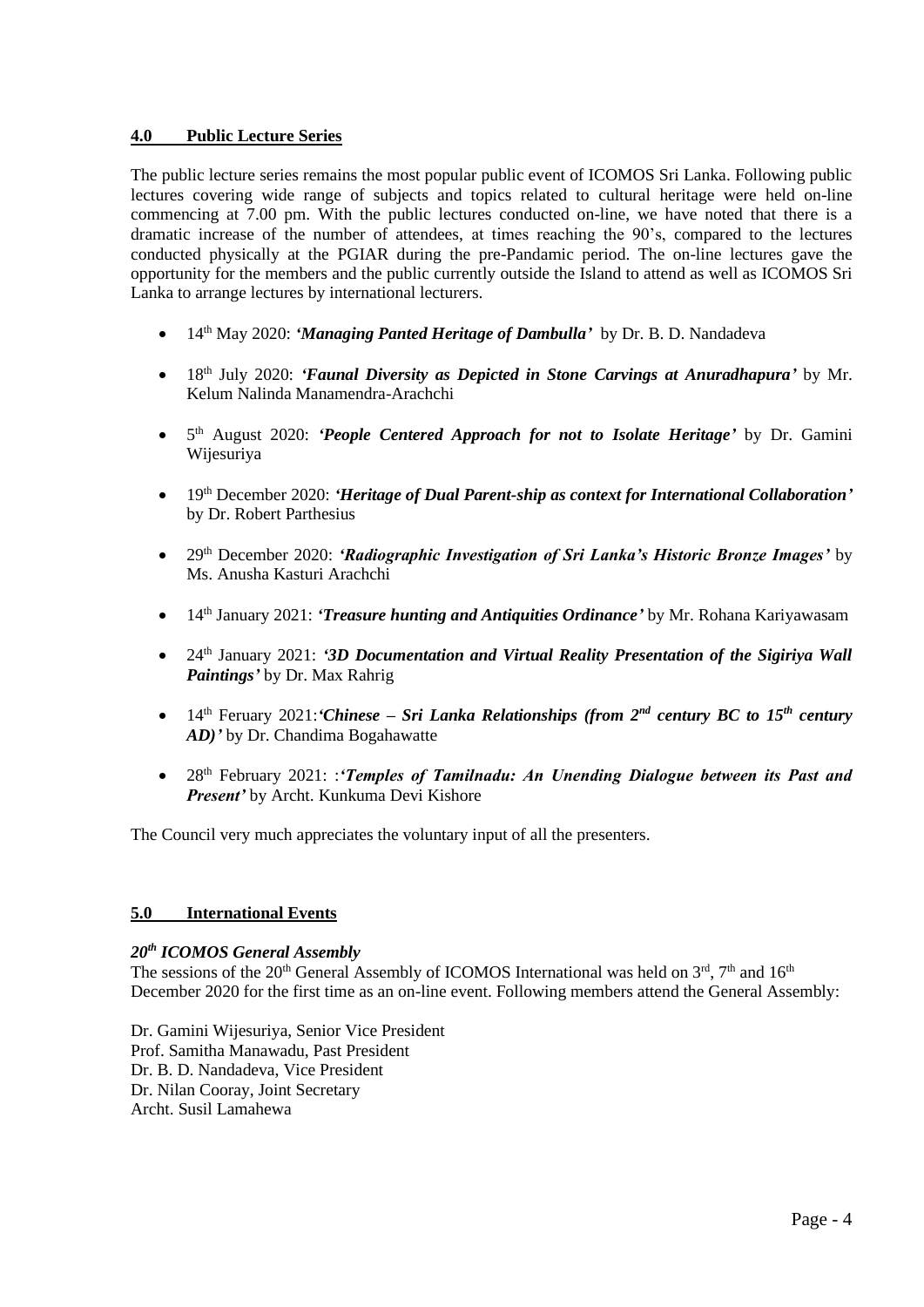## **4.0 Public Lecture Series**

The public lecture series remains the most popular public event of ICOMOS Sri Lanka. Following public lectures covering wide range of subjects and topics related to cultural heritage were held on-line commencing at 7.00 pm. With the public lectures conducted on-line, we have noted that there is a dramatic increase of the number of attendees, at times reaching the 90's, compared to the lectures conducted physically at the PGIAR during the pre-Pandamic period. The on-line lectures gave the opportunity for the members and the public currently outside the Island to attend as well as ICOMOS Sri Lanka to arrange lectures by international lecturers.

- 14th May 2020: *'Managing Panted Heritage of Dambulla'* by Dr. B. D. Nandadeva
- 18th July 2020: *'Faunal Diversity as Depicted in Stone Carvings at Anuradhapura'* by Mr. Kelum Nalinda Manamendra-Arachchi
- 5<sup>th</sup> August 2020: 'People Centered Approach for not to Isolate Heritage' by Dr. Gamini Wijesuriya
- 19th December 2020: *'Heritage of Dual Parent-ship as context for International Collaboration'* by Dr. Robert Parthesius
- 29th December 2020: *'Radiographic Investigation of Sri Lanka's Historic Bronze Images'* by Ms. Anusha Kasturi Arachchi
- 14th January 2021: *'Treasure hunting and Antiquities Ordinance'* by Mr. Rohana Kariyawasam
- 24th January 2021: *'3D Documentation and Virtual Reality Presentation of the Sigiriya Wall Paintings'* by Dr. Max Rahrig
- 14th Feruary 2021:*'Chinese – Sri Lanka Relationships (from 2nd century BC to 15th century AD)'* by Dr. Chandima Bogahawatte
- 28th February 2021: :*'Temples of Tamilnadu: An Unending Dialogue between its Past and Present'* by Archt. Kunkuma Devi Kishore

The Council very much appreciates the voluntary input of all the presenters.

## **5.0 International Events**

## *20th ICOMOS General Assembly*

The sessions of the 20<sup>th</sup> General Assembly of ICOMOS International was held on  $3<sup>rd</sup>$ ,  $7<sup>th</sup>$  and  $16<sup>th</sup>$ December 2020 for the first time as an on-line event. Following members attend the General Assembly:

Dr. Gamini Wijesuriya, Senior Vice President Prof. Samitha Manawadu, Past President Dr. B. D. Nandadeva, Vice President Dr. Nilan Cooray, Joint Secretary Archt. Susil Lamahewa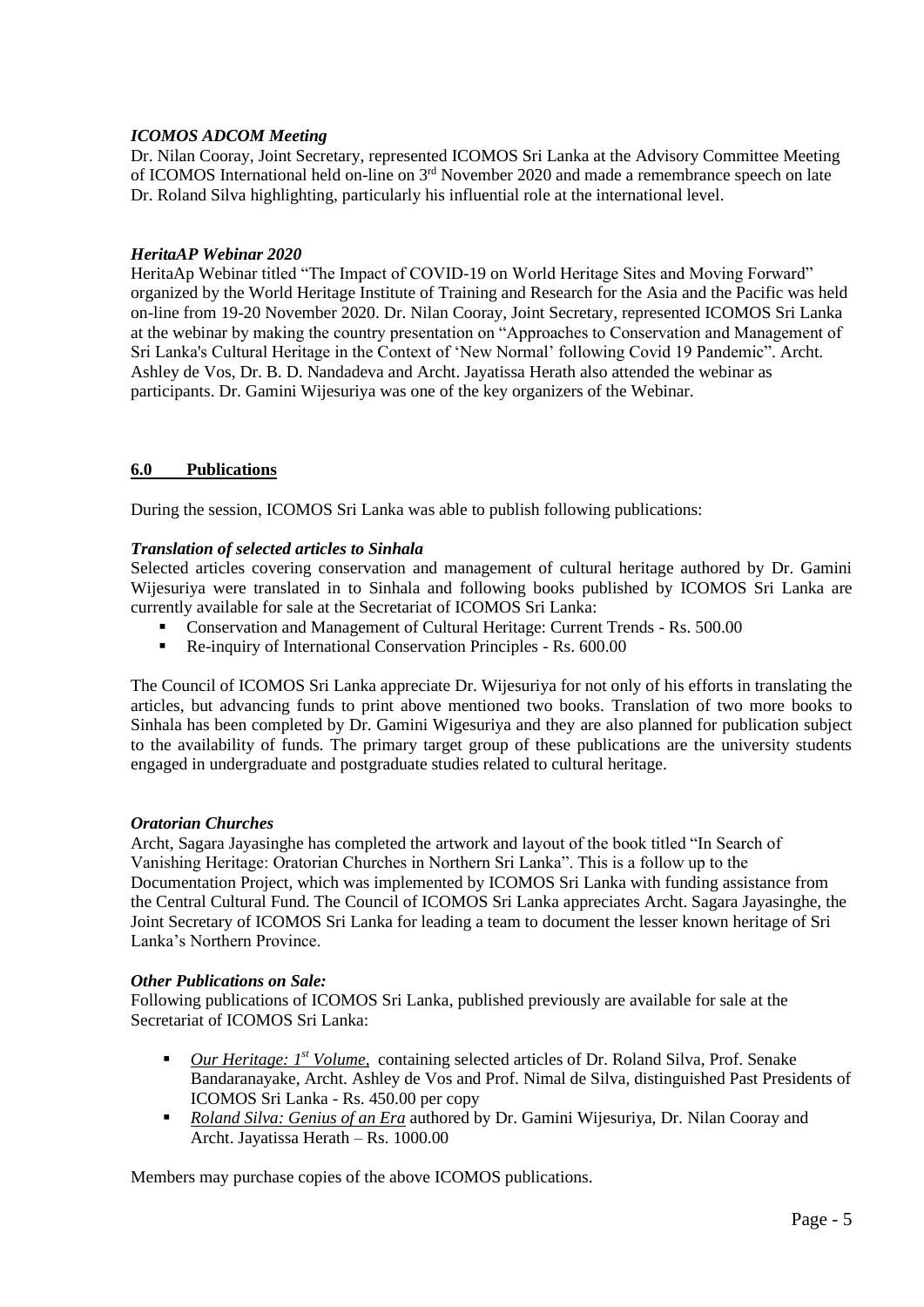## *ICOMOS ADCOM Meeting*

Dr. Nilan Cooray, Joint Secretary, represented ICOMOS Sri Lanka at the Advisory Committee Meeting of ICOMOS International held on-line on 3rd November 2020 and made a remembrance speech on late Dr. Roland Silva highlighting, particularly his influential role at the international level.

## *HeritaAP Webinar 2020*

HeritaAp Webinar titled "The Impact of COVID-19 on World Heritage Sites and Moving Forward" organized by the World Heritage Institute of Training and Research for the Asia and the Pacific was held on-line from 19-20 November 2020. Dr. Nilan Cooray, Joint Secretary, represented ICOMOS Sri Lanka at the webinar by making the country presentation on "Approaches to Conservation and Management of Sri Lanka's Cultural Heritage in the Context of 'New Normal' following Covid 19 Pandemic". Archt. Ashley de Vos, Dr. B. D. Nandadeva and Archt. Jayatissa Herath also attended the webinar as participants. Dr. Gamini Wijesuriya was one of the key organizers of the Webinar.

## **6.0 Publications**

During the session, ICOMOS Sri Lanka was able to publish following publications:

## *Translation of selected articles to Sinhala*

Selected articles covering conservation and management of cultural heritage authored by Dr. Gamini Wijesuriya were translated in to Sinhala and following books published by ICOMOS Sri Lanka are currently available for sale at the Secretariat of ICOMOS Sri Lanka:

- Conservation and Management of Cultural Heritage: Current Trends Rs. 500.00
- Re-inquiry of International Conservation Principles Rs. 600.00

The Council of ICOMOS Sri Lanka appreciate Dr. Wijesuriya for not only of his efforts in translating the articles, but advancing funds to print above mentioned two books. Translation of two more books to Sinhala has been completed by Dr. Gamini Wigesuriya and they are also planned for publication subject to the availability of funds. The primary target group of these publications are the university students engaged in undergraduate and postgraduate studies related to cultural heritage.

## *Oratorian Churches*

Archt, Sagara Jayasinghe has completed the artwork and layout of the book titled "In Search of Vanishing Heritage: Oratorian Churches in Northern Sri Lanka". This is a follow up to the Documentation Project, which was implemented by ICOMOS Sri Lanka with funding assistance from the Central Cultural Fund. The Council of ICOMOS Sri Lanka appreciates Archt. Sagara Jayasinghe, the Joint Secretary of ICOMOS Sri Lanka for leading a team to document the lesser known heritage of Sri Lanka's Northern Province.

## *Other Publications on Sale:*

Following publications of ICOMOS Sri Lanka, published previously are available for sale at the Secretariat of ICOMOS Sri Lanka:

- *Our Heritage: 1<sup>st</sup> Volume*, containing selected articles of Dr. Roland Silva, Prof. Senake Bandaranayake, Archt. Ashley de Vos and Prof. Nimal de Silva, distinguished Past Presidents of ICOMOS Sri Lanka - Rs. 450.00 per copy
- *Roland Silva: Genius of an Era* authored by Dr. Gamini Wijesuriya, Dr. Nilan Cooray and Archt. Jayatissa Herath – Rs. 1000.00

Members may purchase copies of the above ICOMOS publications.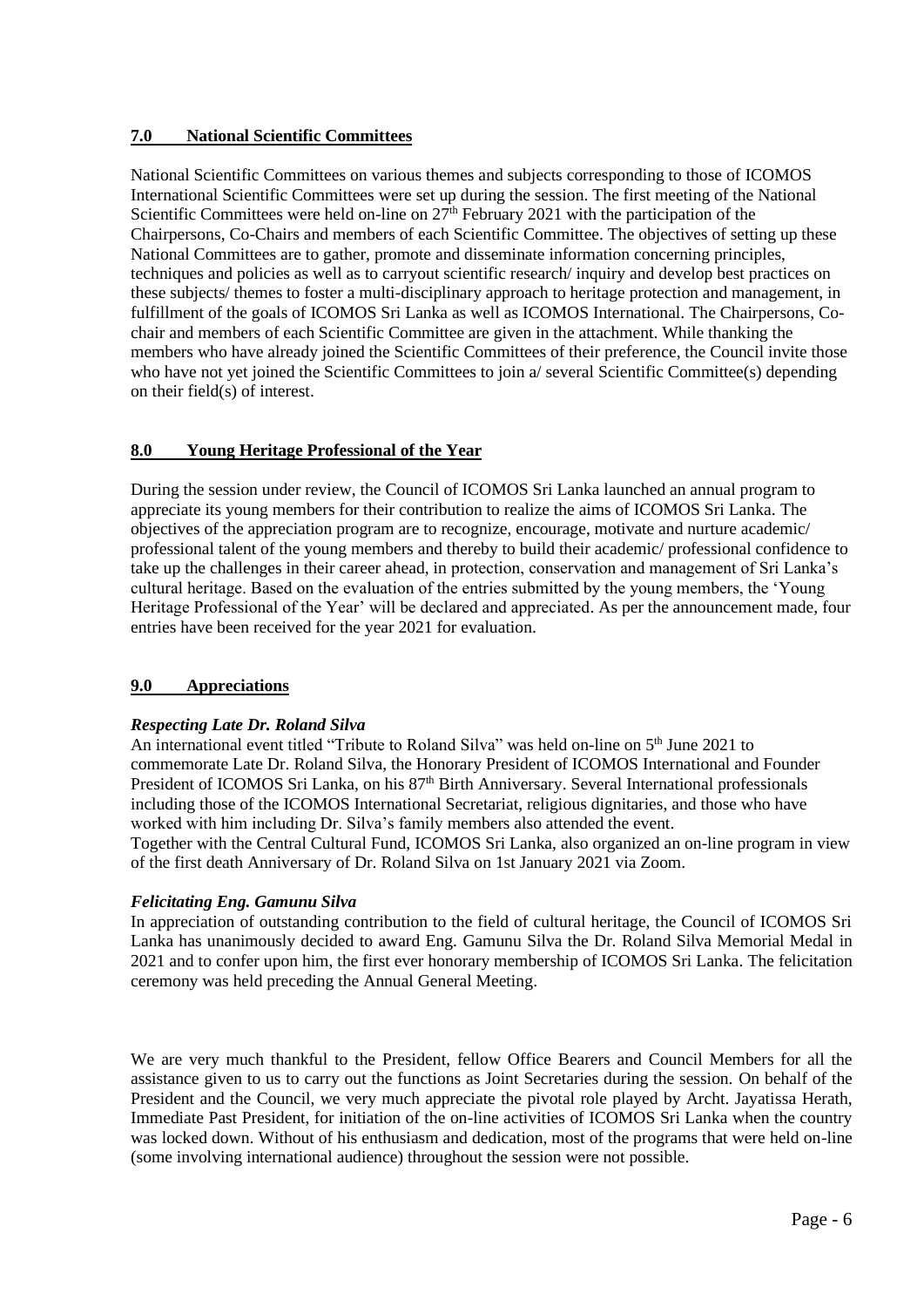## **7.0 National Scientific Committees**

National Scientific Committees on various themes and subjects corresponding to those of ICOMOS International Scientific Committees were set up during the session. The first meeting of the National Scientific Committees were held on-line on  $27<sup>th</sup>$  February 2021 with the participation of the Chairpersons, Co-Chairs and members of each Scientific Committee. The objectives of setting up these National Committees are to gather, promote and disseminate information concerning principles, techniques and policies as well as to carryout scientific research/ inquiry and develop best practices on these subjects/ themes to foster a multi-disciplinary approach to heritage protection and management, in fulfillment of the goals of ICOMOS Sri Lanka as well as ICOMOS International. The Chairpersons, Cochair and members of each Scientific Committee are given in the attachment. While thanking the members who have already joined the Scientific Committees of their preference, the Council invite those who have not yet joined the Scientific Committees to join a/ several Scientific Committee(s) depending on their field(s) of interest.

## **8.0 Young Heritage Professional of the Year**

During the session under review, the Council of ICOMOS Sri Lanka launched an annual program to appreciate its young members for their contribution to realize the aims of ICOMOS Sri Lanka. The objectives of the appreciation program are to recognize, encourage, motivate and nurture academic/ professional talent of the young members and thereby to build their academic/ professional confidence to take up the challenges in their career ahead, in protection, conservation and management of Sri Lanka's cultural heritage. Based on the evaluation of the entries submitted by the young members, the 'Young Heritage Professional of the Year' will be declared and appreciated. As per the announcement made, four entries have been received for the year 2021 for evaluation.

## **9.0 Appreciations**

## *Respecting Late Dr. Roland Silva*

An international event titled "Tribute to Roland Silva" was held on-line on 5<sup>th</sup> June 2021 to commemorate Late Dr. Roland Silva, the Honorary President of ICOMOS International and Founder President of ICOMOS Sri Lanka, on his 87<sup>th</sup> Birth Anniversary. Several International professionals including those of the ICOMOS International Secretariat, religious dignitaries, and those who have worked with him including Dr. Silva's family members also attended the event. Together with the Central Cultural Fund, ICOMOS Sri Lanka, also organized an on-line program in view of the first death Anniversary of Dr. Roland Silva on 1st January 2021 via Zoom.

## *Felicitating Eng. Gamunu Silva*

In appreciation of outstanding contribution to the field of cultural heritage, the Council of ICOMOS Sri Lanka has unanimously decided to award Eng. Gamunu Silva the Dr. Roland Silva Memorial Medal in 2021 and to confer upon him, the first ever honorary membership of ICOMOS Sri Lanka. The felicitation ceremony was held preceding the Annual General Meeting.

We are very much thankful to the President, fellow Office Bearers and Council Members for all the assistance given to us to carry out the functions as Joint Secretaries during the session. On behalf of the President and the Council, we very much appreciate the pivotal role played by Archt. Jayatissa Herath, Immediate Past President, for initiation of the on-line activities of ICOMOS Sri Lanka when the country was locked down. Without of his enthusiasm and dedication, most of the programs that were held on-line (some involving international audience) throughout the session were not possible.